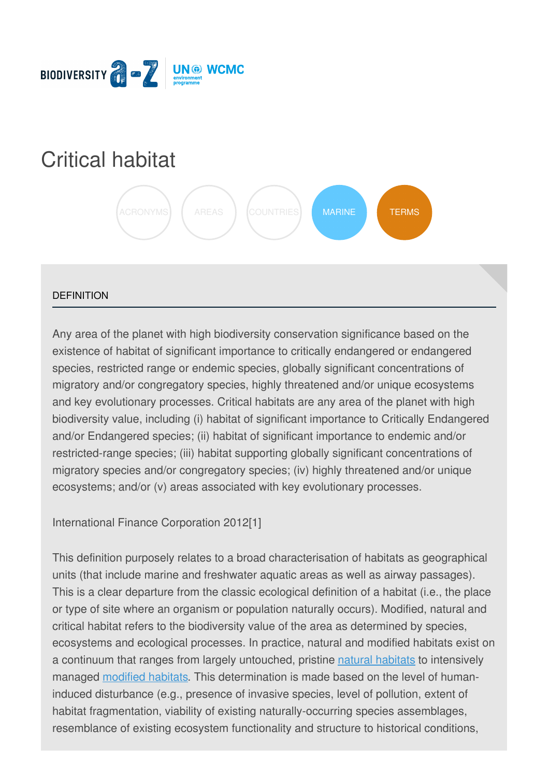

# [Critical](https://biodiversitya-z.org/content/critical-habitat) habitat



## **DEFINITION**

Any area of the planet with high biodiversity conservation significance based on the existence of habitat of significant importance to critically endangered or endangered species, restricted range or endemic species, globally significant concentrations of migratory and/or congregatory species, highly threatened and/or unique ecosystems and key evolutionary processes. Critical habitats are any area of the planet with high biodiversity value, including (i) habitat of significant importance to Critically Endangered and/or Endangered species; (ii) habitat of significant importance to endemic and/or restricted-range species; (iii) habitat supporting globally significant concentrations of migratory species and/or congregatory species; (iv) highly threatened and/or unique ecosystems; and/or (v) areas associated with key evolutionary processes.

International Finance Corporation 2012[1]

This definition purposely relates to a broad characterisation of habitats as geographical units (that include marine and freshwater aquatic areas as well as airway passages). This is a clear departure from the classic ecological definition of a habitat (i.e., the place or type of site where an organism or population naturally occurs). Modified, natural and critical habitat refers to the biodiversity value of the area as determined by species, ecosystems and ecological processes. In practice, natural and modified habitats exist [on](file:///tmp/.page-wrap.with-gradient) a continuum that ranges from largely untouched, pristine natural [habitats](http://biodiversitya-z.org/content/natural-habitats) to intensively managed [modified](http://biodiversitya-z.org/content/modified-habitats) habitats. This determination is made based on the level of humaninduced disturbance (e.g., presence of invasive species, level of pollution, extent of habitat fragmentation, viability of existing naturally-occurring species assemblages, resemblance of existing ecosystem functionality and structure to historical conditions,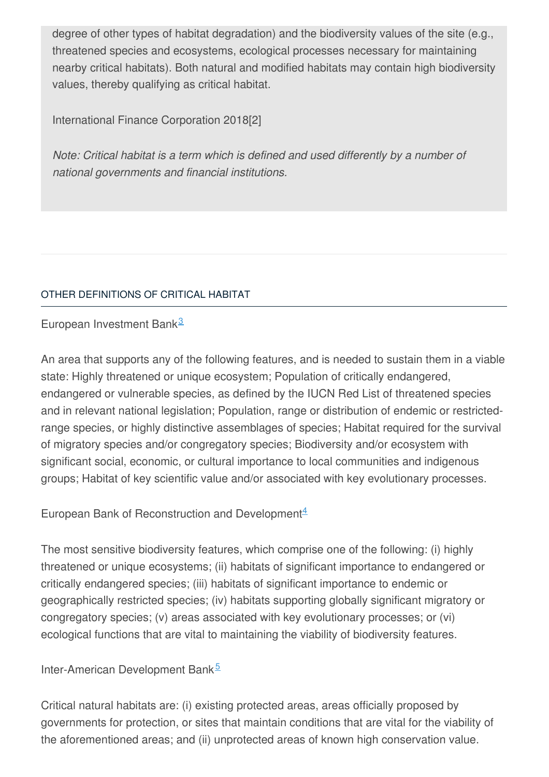degree of other types of habitat degradation) and the biodiversity values of the site (e.g., threatened species and ecosystems, ecological processes necessary for maintaining nearby critical habitats). Both natural and modified habitats may contain high biodiversity values, thereby qualifying as critical habitat.

International Finance Corporation 2018[2]

*Note: Critical habitat is a term which is defined and used differently by a number of national governments and financial institutions.*

# OTHER [DEFINITIONS](javascript:void(0)) OF CRITICAL HABITAT

European Investment Bank<sup>[3](#page-3-0)</sup>

An area that supports any of the following features, and is needed to sustain them in a viable state: Highly threatened or unique ecosystem; Population of critically endangered, endangered or vulnerable species, as defined by the IUCN Red List of threatened species and in relevant national legislation; Population, range or distribution of endemic or restrictedrange species, or highly distinctive assemblages of species; Habitat required for the survival of migratory species and/or congregatory species; Biodiversity and/or ecosystem with significant social, economic, or cultural importance to local communities and indigenous groups; Habitat of key scientific value and/or associated with key evolutionary processes.

European Bank of Reconstruction and Development<sup>[4](#page-3-1)</sup>

The most sensitive biodiversity features, which comprise one of the following: (i) highly threatened or unique ecosystems; (ii) habitats of significant importance to endangered or critically endangered species; (iii) habitats of significant importance to endemic or geographically restricted species; (iv) habitats supporting globally significant migratory or congregatory species; (v) areas associated with key evolutionary processes; or (vi) ecological functions that are vital to maintaining the viability of biodiversity features.

# Inter-American Development Bank<sup>[5](#page-3-2)</sup>

Critical natural habitats are: (i) existing protected areas, areas officially proposed by governments for protection, or sites that maintain conditions that are vital for the viability of the aforementioned areas; and (ii) unprotected areas of known high conservation value.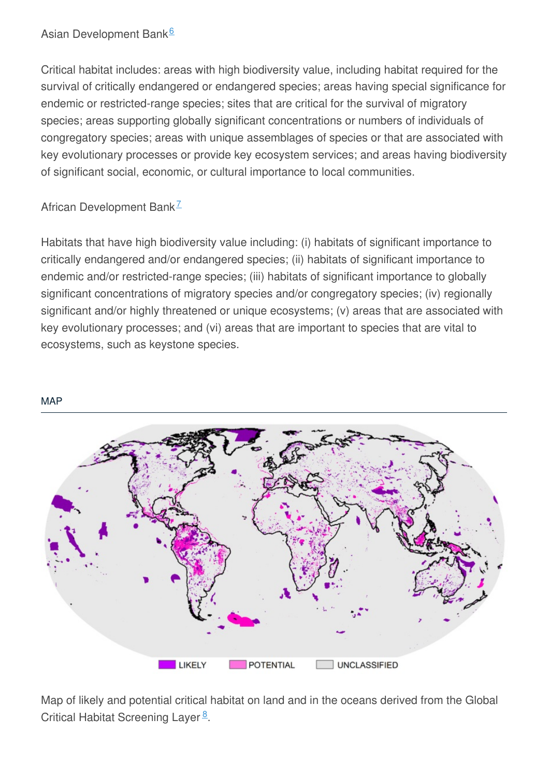# Asian Development Bank<sup>[6](#page-3-3)</sup>

Critical habitat includes: areas with high biodiversity value, including habitat required for the survival of critically endangered or endangered species; areas having special significance for endemic or restricted-range species; sites that are critical for the survival of migratory species; areas supporting globally significant concentrations or numbers of individuals of congregatory species; areas with unique assemblages of species or that are associated with key evolutionary processes or provide key ecosystem services; and areas having biodiversity of significant social, economic, or cultural importance to local communities.

# African Development Bank<sup>[7](#page-3-4)</sup>

Habitats that have high biodiversity value including: (i) habitats of significant importance to critically endangered and/or endangered species; (ii) habitats of significant importance to endemic and/or restricted-range species; (iii) habitats of significant importance to globally significant concentrations of migratory species and/or congregatory species; (iv) regionally significant and/or highly threatened or unique ecosystems; (v) areas that are associated with key evolutionary processes; and (vi) areas that are important to species that are vital to ecosystems, such as keystone species.

#### **[MAP](javascript:void(0))**



Map of likely and potential critical habitat on land and in the oceans derived from the Global Critical Habitat Screening Layer<sup>[8](#page-3-5)</sup>.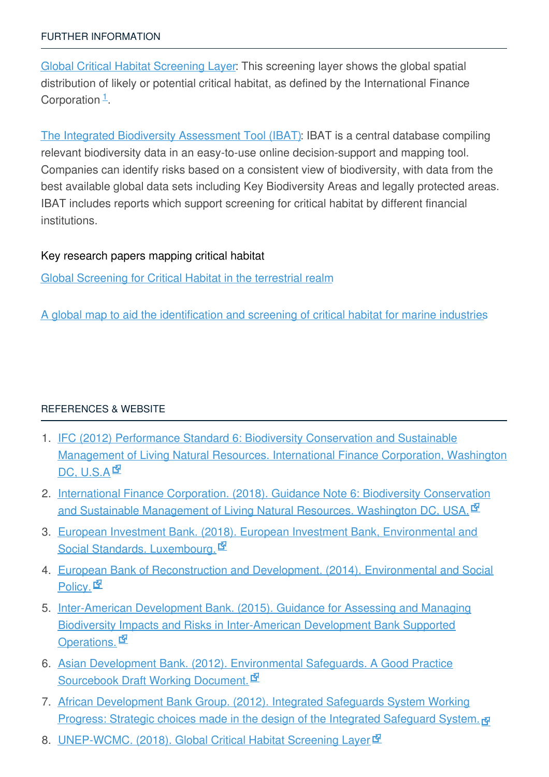Global Critical Habitat [Screening](http://data.unep-wcmc.org/datasets/44) Layer: This screening layer shows the global spatial distribution of likely or potential critical habitat, as defined by the International Finance Corporation  $\frac{1}{1}$  $\frac{1}{1}$  $\frac{1}{1}$ .

The Integrated Biodiversity [Assessment](https://ibat-alliance.org/) Tool (IBAT): IBAT is a central database compiling relevant biodiversity data in an easy-to-use online decision-support and mapping tool. Companies can identify risks based on a consistent view of biodiversity, with data from the best available global data sets including Key Biodiversity Areas and legally protected areas. IBAT includes reports which support screening for critical habitat by different financial institutions.

## Key research papers mapping critical habitat

Global [Screening](https://journals.plos.org/plosone/article?id=10.1371/journal.pone.0193102) for Critical Habitat in the terrestrial realm

A global map to aid the [identification](http://www.sciencedirect.com/science/article/pii/S0308597X14002991?via%3Dihub) and screening of critical habitat for marine industries

## [REFERENCES](javascript:void(0)) & WEBSITE

- <span id="page-3-6"></span>1. IFC (2012) Performance Standard 6: Biodiversity [Conservation](http://www.ifc.org/wps/wcm/connect/bff0a28049a790d6b835faa8c6a8312a/PS6_English_2012.pdf?MOD=AJPERES) and Sustainable Management of Living Natural Resources. International Finance Corporation, Washington DC, U.S.A<sup>rd</sup>
- 2. International Finance Corporation. (2018). Guidance Note 6: Biodiversity [Conservation](https://www.ifc.org/wps/wcm/connect/a359a380498007e9a1b7f3336b93d75f/Updated_GN6-2012.pdf?MOD=AJPERES) and Sustainable Management of Living Natural Resources. Washington DC, USA.
- <span id="page-3-0"></span>3. European Investment Bank. (2018). European Investment Bank, [Environmental](http://www.eib.org/attachments/strategies/environmental_and_social_practices_handbook_en.pdf) and Social Standards. Luxembourg.
- <span id="page-3-1"></span>4. European Bank of [Reconstruction](https://www.ebrd.com/downloads/research/policies/esp-final.pdf) and Development. (2014). Environmental and Social Policy. **I**
- <span id="page-3-2"></span>5. Inter-American Development Bank. (2015). Guidance for Assessing and Managing Biodiversity Impacts and Risks in [Inter-American](https://webimages.iadb.org/publications/english/document/Guidance-for-Assessing-and-Managing-Biodiversity-Impacts-and-Risks-in-Inter-American-Development-Bank-Supported-Operations.pdf) Development Bank Supported Operations. E
- <span id="page-3-3"></span>6. Asian Development Bank. (2012). [Environmental](https://www.adb.org/sites/default/files/institutional-document/33739/files/environment-safeguards-good-practices-sourcebook-draft.pdf) Safeguards. A Good Practice Sourcebook Draft Working Document.
- <span id="page-3-4"></span>7. African [Development](https://www.afdb.org/fileadmin/uploads/afdb/Documents/Policy-Documents/AFDB ISS 23022012 ENGLISH.pdf) Bank Group. (2012). Integrated Safeguards System Working **Progress: Strategic choices made in the design of the Integrated Safeguard System.**
- <span id="page-3-5"></span>8. <u>[UNEP-WCMC.](http://data.unep-wcmc.org/datasets/44) (2018). Global Critical Habitat Screening Layer</u> M